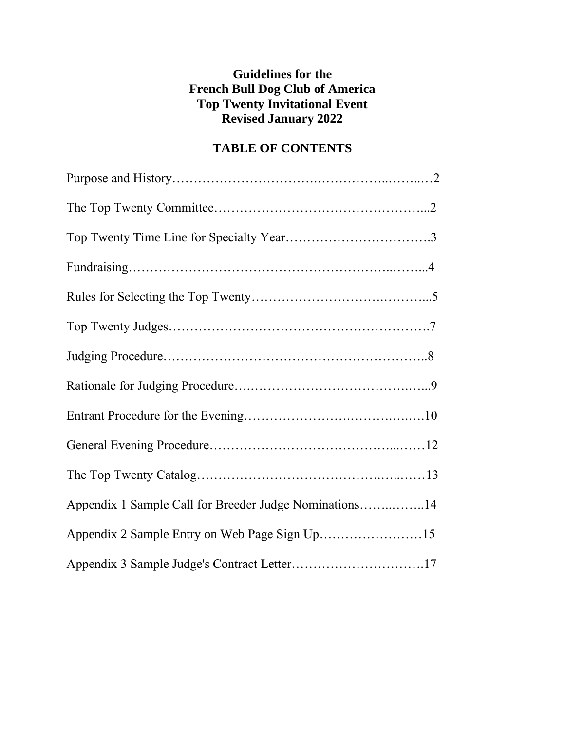# **Guidelines for the French Bull Dog Club of America Top Twenty Invitational Event Revised January 2022**

# **TABLE OF CONTENTS**

| Appendix 1 Sample Call for Breeder Judge Nominations14 |  |
|--------------------------------------------------------|--|
|                                                        |  |
|                                                        |  |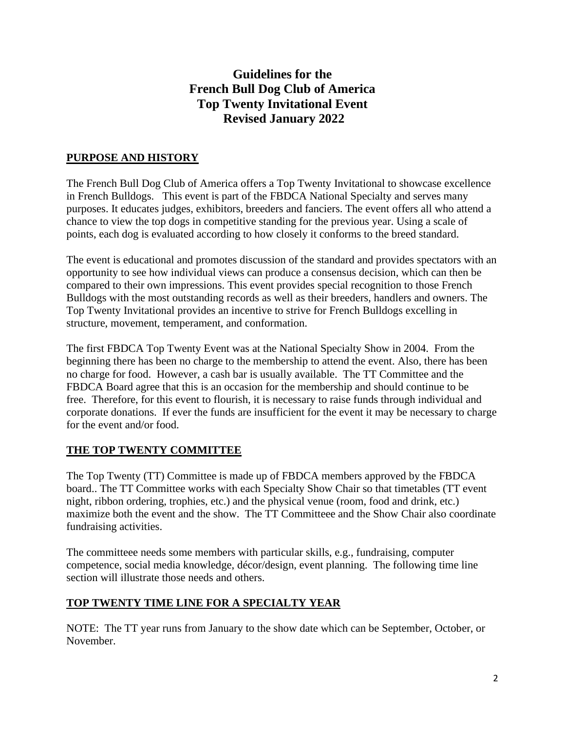# **Guidelines for the French Bull Dog Club of America Top Twenty Invitational Event Revised January 2022**

## **PURPOSE AND HISTORY**

The French Bull Dog Club of America offers a Top Twenty Invitational to showcase excellence in French Bulldogs. This event is part of the FBDCA National Specialty and serves many purposes. It educates judges, exhibitors, breeders and fanciers. The event offers all who attend a chance to view the top dogs in competitive standing for the previous year. Using a scale of points, each dog is evaluated according to how closely it conforms to the breed standard.

The event is educational and promotes discussion of the standard and provides spectators with an opportunity to see how individual views can produce a consensus decision, which can then be compared to their own impressions. This event provides special recognition to those French Bulldogs with the most outstanding records as well as their breeders, handlers and owners. The Top Twenty Invitational provides an incentive to strive for French Bulldogs excelling in structure, movement, temperament, and conformation.

The first FBDCA Top Twenty Event was at the National Specialty Show in 2004. From the beginning there has been no charge to the membership to attend the event. Also, there has been no charge for food. However, a cash bar is usually available. The TT Committee and the FBDCA Board agree that this is an occasion for the membership and should continue to be free. Therefore, for this event to flourish, it is necessary to raise funds through individual and corporate donations. If ever the funds are insufficient for the event it may be necessary to charge for the event and/or food.

## **THE TOP TWENTY COMMITTEE**

The Top Twenty (TT) Committee is made up of FBDCA members approved by the FBDCA board.. The TT Committee works with each Specialty Show Chair so that timetables (TT event night, ribbon ordering, trophies, etc.) and the physical venue (room, food and drink, etc.) maximize both the event and the show. The TT Committeee and the Show Chair also coordinate fundraising activities.

The committeee needs some members with particular skills, e.g., fundraising, computer competence, social media knowledge, décor/design, event planning. The following time line section will illustrate those needs and others.

## **TOP TWENTY TIME LINE FOR A SPECIALTY YEAR**

NOTE: The TT year runs from January to the show date which can be September, October, or November.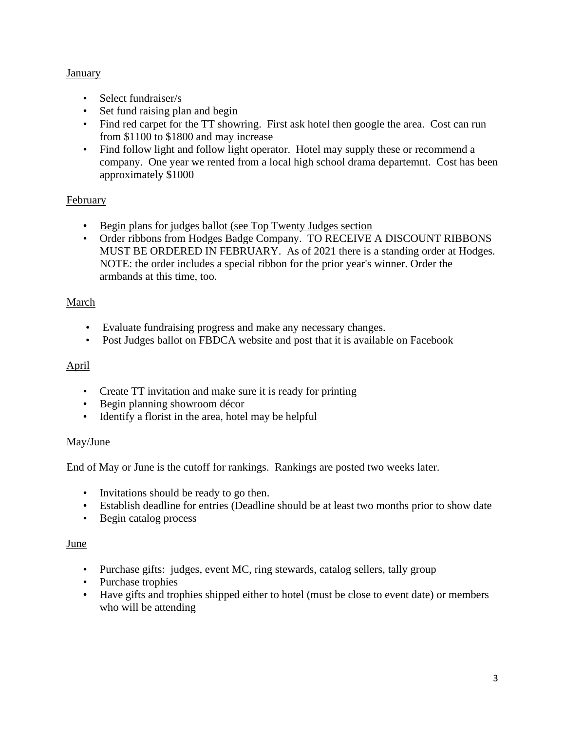## **January**

- Select fundraiser/s
- Set fund raising plan and begin
- Find red carpet for the TT showring. First ask hotel then google the area. Cost can run from \$1100 to \$1800 and may increase
- Find follow light and follow light operator. Hotel may supply these or recommend a company. One year we rented from a local high school drama departemnt. Cost has been approximately \$1000

## **February**

- Begin plans for judges ballot (see Top Twenty Judges section
- Order ribbons from Hodges Badge Company. TO RECEIVE A DISCOUNT RIBBONS MUST BE ORDERED IN FEBRUARY. As of 2021 there is a standing order at Hodges. NOTE: the order includes a special ribbon for the prior year's winner. Order the armbands at this time, too.

## March

- Evaluate fundraising progress and make any necessary changes.
- Post Judges ballot on FBDCA website and post that it is available on Facebook

## April

- Create TT invitation and make sure it is ready for printing
- Begin planning showroom décor
- Identify a florist in the area, hotel may be helpful

## May/June

End of May or June is the cutoff for rankings. Rankings are posted two weeks later.

- Invitations should be ready to go then.
- Establish deadline for entries (Deadline should be at least two months prior to show date
- Begin catalog process

## June

- Purchase gifts: judges, event MC, ring stewards, catalog sellers, tally group
- Purchase trophies
- Have gifts and trophies shipped either to hotel (must be close to event date) or members who will be attending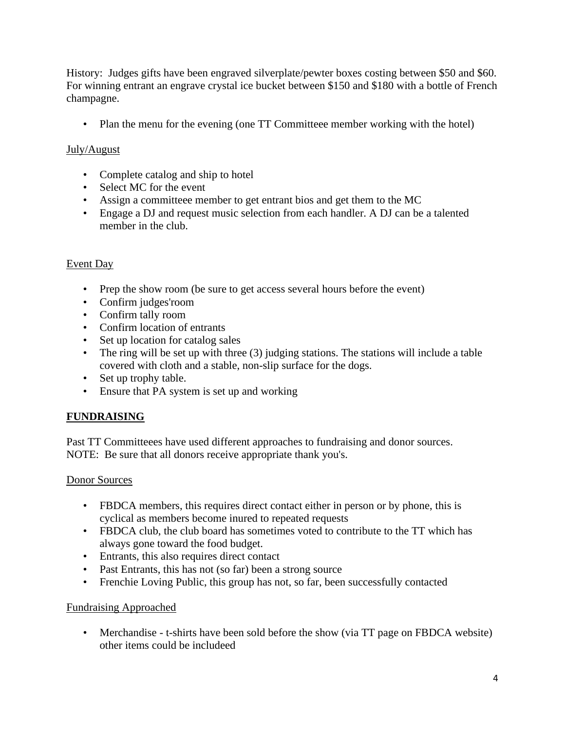History: Judges gifts have been engraved silverplate/pewter boxes costing between \$50 and \$60. For winning entrant an engrave crystal ice bucket between \$150 and \$180 with a bottle of French champagne.

• Plan the menu for the evening (one TT Committeee member working with the hotel)

## July/August

- Complete catalog and ship to hotel
- Select MC for the event
- Assign a committeee member to get entrant bios and get them to the MC
- Engage a DJ and request music selection from each handler. A DJ can be a talented member in the club.

## Event Day

- Prep the show room (be sure to get access several hours before the event)
- Confirm judges'room
- Confirm tally room
- Confirm location of entrants
- Set up location for catalog sales
- The ring will be set up with three (3) judging stations. The stations will include a table covered with cloth and a stable, non-slip surface for the dogs.
- Set up trophy table.
- Ensure that PA system is set up and working

## **FUNDRAISING**

Past TT Committeees have used different approaches to fundraising and donor sources. NOTE: Be sure that all donors receive appropriate thank you's.

## Donor Sources

- FBDCA members, this requires direct contact either in person or by phone, this is cyclical as members become inured to repeated requests
- FBDCA club, the club board has sometimes voted to contribute to the TT which has always gone toward the food budget.
- Entrants, this also requires direct contact
- Past Entrants, this has not (so far) been a strong source
- Frenchie Loving Public, this group has not, so far, been successfully contacted

## Fundraising Approached

• Merchandise - t-shirts have been sold before the show (via TT page on FBDCA website) other items could be includeed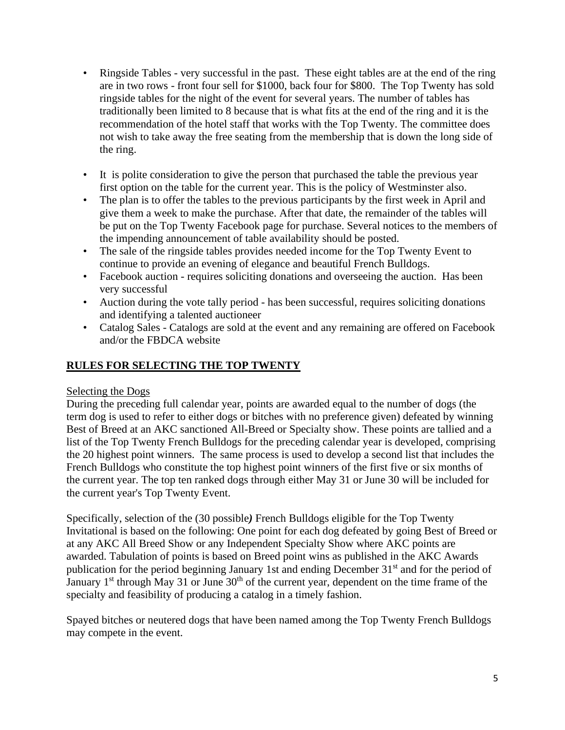- Ringside Tables very successful in the past. These eight tables are at the end of the ring are in two rows - front four sell for \$1000, back four for \$800. The Top Twenty has sold ringside tables for the night of the event for several years. The number of tables has traditionally been limited to 8 because that is what fits at the end of the ring and it is the recommendation of the hotel staff that works with the Top Twenty. The committee does not wish to take away the free seating from the membership that is down the long side of the ring.
- It is polite consideration to give the person that purchased the table the previous year first option on the table for the current year. This is the policy of Westminster also.
- The plan is to offer the tables to the previous participants by the first week in April and give them a week to make the purchase. After that date, the remainder of the tables will be put on the Top Twenty Facebook page for purchase. Several notices to the members of the impending announcement of table availability should be posted.
- The sale of the ringside tables provides needed income for the Top Twenty Event to continue to provide an evening of elegance and beautiful French Bulldogs.
- Facebook auction requires soliciting donations and overseeing the auction. Has been very successful
- Auction during the vote tally period has been successful, requires soliciting donations and identifying a talented auctioneer
- Catalog Sales Catalogs are sold at the event and any remaining are offered on Facebook and/or the FBDCA website

## **RULES FOR SELECTING THE TOP TWENTY**

## Selecting the Dogs

During the preceding full calendar year, points are awarded equal to the number of dogs (the term dog is used to refer to either dogs or bitches with no preference given) defeated by winning Best of Breed at an AKC sanctioned All-Breed or Specialty show. These points are tallied and a list of the Top Twenty French Bulldogs for the preceding calendar year is developed, comprising the 20 highest point winners. The same process is used to develop a second list that includes the French Bulldogs who constitute the top highest point winners of the first five or six months of the current year. The top ten ranked dogs through either May 31 or June 30 will be included for the current year's Top Twenty Event.

Specifically, selection of the (30 possible*)* French Bulldogs eligible for the Top Twenty Invitational is based on the following: One point for each dog defeated by going Best of Breed or at any AKC All Breed Show or any Independent Specialty Show where AKC points are awarded. Tabulation of points is based on Breed point wins as published in the AKC Awards publication for the period beginning January 1st and ending December 31<sup>st</sup> and for the period of January  $1<sup>st</sup>$  through May 31 or June  $30<sup>th</sup>$  of the current year, dependent on the time frame of the specialty and feasibility of producing a catalog in a timely fashion.

Spayed bitches or neutered dogs that have been named among the Top Twenty French Bulldogs may compete in the event.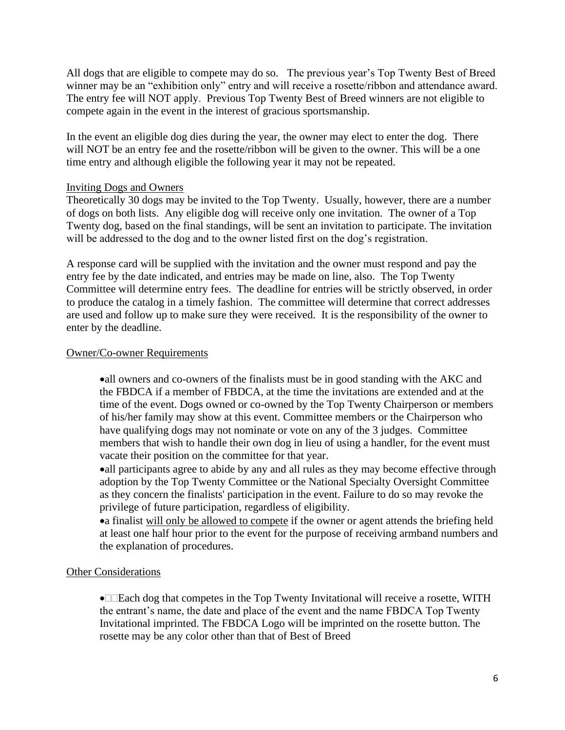All dogs that are eligible to compete may do so. The previous year's Top Twenty Best of Breed winner may be an "exhibition only" entry and will receive a rosette/ribbon and attendance award. The entry fee will NOT apply. Previous Top Twenty Best of Breed winners are not eligible to compete again in the event in the interest of gracious sportsmanship.

In the event an eligible dog dies during the year, the owner may elect to enter the dog. There will NOT be an entry fee and the rosette/ribbon will be given to the owner. This will be a one time entry and although eligible the following year it may not be repeated.

### Inviting Dogs and Owners

Theoretically 30 dogs may be invited to the Top Twenty. Usually, however, there are a number of dogs on both lists. Any eligible dog will receive only one invitation. The owner of a Top Twenty dog, based on the final standings, will be sent an invitation to participate. The invitation will be addressed to the dog and to the owner listed first on the dog's registration.

A response card will be supplied with the invitation and the owner must respond and pay the entry fee by the date indicated, and entries may be made on line, also. The Top Twenty Committee will determine entry fees. The deadline for entries will be strictly observed, in order to produce the catalog in a timely fashion. The committee will determine that correct addresses are used and follow up to make sure they were received. It is the responsibility of the owner to enter by the deadline.

#### Owner/Co-owner Requirements

•all owners and co-owners of the finalists must be in good standing with the AKC and the FBDCA if a member of FBDCA, at the time the invitations are extended and at the time of the event. Dogs owned or co-owned by the Top Twenty Chairperson or members of his/her family may show at this event. Committee members or the Chairperson who have qualifying dogs may not nominate or vote on any of the 3 judges. Committee members that wish to handle their own dog in lieu of using a handler, for the event must vacate their position on the committee for that year.

•all participants agree to abide by any and all rules as they may become effective through adoption by the Top Twenty Committee or the National Specialty Oversight Committee as they concern the finalists' participation in the event. Failure to do so may revoke the privilege of future participation, regardless of eligibility.

•a finalist will only be allowed to compete if the owner or agent attends the briefing held at least one half hour prior to the event for the purpose of receiving armband numbers and the explanation of procedures.

### Other Considerations

•**E** Each dog that competes in the Top Twenty Invitational will receive a rosette, WITH the entrant's name, the date and place of the event and the name FBDCA Top Twenty Invitational imprinted. The FBDCA Logo will be imprinted on the rosette button. The rosette may be any color other than that of Best of Breed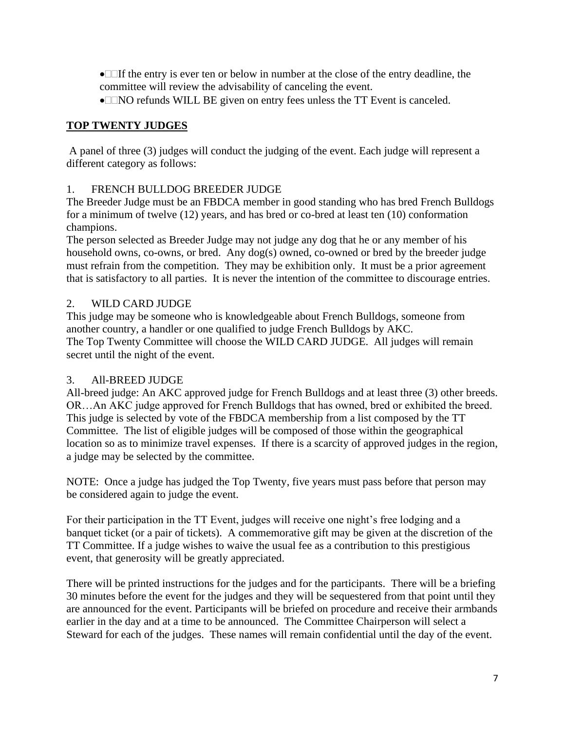• $\Box$ If the entry is ever ten or below in number at the close of the entry deadline, the committee will review the advisability of canceling the event.

• $\Box$ NO refunds WILL BE given on entry fees unless the TT Event is canceled.

## **TOP TWENTY JUDGES**

A panel of three (3) judges will conduct the judging of the event. Each judge will represent a different category as follows:

## 1. FRENCH BULLDOG BREEDER JUDGE

The Breeder Judge must be an FBDCA member in good standing who has bred French Bulldogs for a minimum of twelve (12) years, and has bred or co-bred at least ten (10) conformation champions.

The person selected as Breeder Judge may not judge any dog that he or any member of his household owns, co-owns, or bred. Any dog(s) owned, co-owned or bred by the breeder judge must refrain from the competition. They may be exhibition only. It must be a prior agreement that is satisfactory to all parties. It is never the intention of the committee to discourage entries.

## 2. WILD CARD JUDGE

This judge may be someone who is knowledgeable about French Bulldogs, someone from another country, a handler or one qualified to judge French Bulldogs by AKC. The Top Twenty Committee will choose the WILD CARD JUDGE. All judges will remain secret until the night of the event.

## 3. All-BREED JUDGE

All-breed judge: An AKC approved judge for French Bulldogs and at least three (3) other breeds. OR…An AKC judge approved for French Bulldogs that has owned, bred or exhibited the breed. This judge is selected by vote of the FBDCA membership from a list composed by the TT Committee. The list of eligible judges will be composed of those within the geographical location so as to minimize travel expenses. If there is a scarcity of approved judges in the region, a judge may be selected by the committee.

NOTE: Once a judge has judged the Top Twenty, five years must pass before that person may be considered again to judge the event.

For their participation in the TT Event, judges will receive one night's free lodging and a banquet ticket (or a pair of tickets). A commemorative gift may be given at the discretion of the TT Committee. If a judge wishes to waive the usual fee as a contribution to this prestigious event, that generosity will be greatly appreciated.

There will be printed instructions for the judges and for the participants. There will be a briefing 30 minutes before the event for the judges and they will be sequestered from that point until they are announced for the event. Participants will be briefed on procedure and receive their armbands earlier in the day and at a time to be announced. The Committee Chairperson will select a Steward for each of the judges. These names will remain confidential until the day of the event.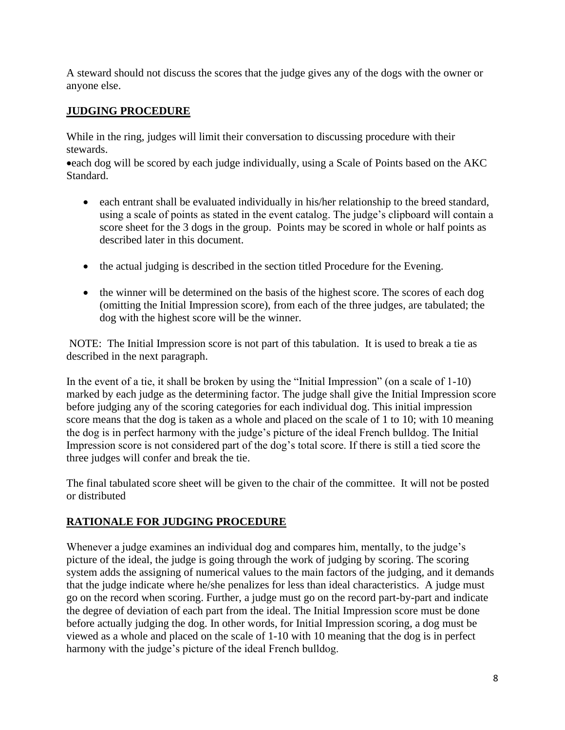A steward should not discuss the scores that the judge gives any of the dogs with the owner or anyone else.

## **JUDGING PROCEDURE**

While in the ring, judges will limit their conversation to discussing procedure with their stewards.

•each dog will be scored by each judge individually, using a Scale of Points based on the AKC Standard.

- each entrant shall be evaluated individually in his/her relationship to the breed standard, using a scale of points as stated in the event catalog. The judge's clipboard will contain a score sheet for the 3 dogs in the group. Points may be scored in whole or half points as described later in this document.
- the actual judging is described in the section titled Procedure for the Evening.
- the winner will be determined on the basis of the highest score. The scores of each dog (omitting the Initial Impression score), from each of the three judges, are tabulated; the dog with the highest score will be the winner.

NOTE: The Initial Impression score is not part of this tabulation. It is used to break a tie as described in the next paragraph.

In the event of a tie, it shall be broken by using the "Initial Impression" (on a scale of 1-10) marked by each judge as the determining factor. The judge shall give the Initial Impression score before judging any of the scoring categories for each individual dog. This initial impression score means that the dog is taken as a whole and placed on the scale of 1 to 10; with 10 meaning the dog is in perfect harmony with the judge's picture of the ideal French bulldog. The Initial Impression score is not considered part of the dog's total score. If there is still a tied score the three judges will confer and break the tie.

The final tabulated score sheet will be given to the chair of the committee. It will not be posted or distributed

## **RATIONALE FOR JUDGING PROCEDURE**

Whenever a judge examines an individual dog and compares him, mentally, to the judge's picture of the ideal, the judge is going through the work of judging by scoring. The scoring system adds the assigning of numerical values to the main factors of the judging, and it demands that the judge indicate where he/she penalizes for less than ideal characteristics. A judge must go on the record when scoring. Further, a judge must go on the record part-by-part and indicate the degree of deviation of each part from the ideal. The Initial Impression score must be done before actually judging the dog. In other words, for Initial Impression scoring, a dog must be viewed as a whole and placed on the scale of 1-10 with 10 meaning that the dog is in perfect harmony with the judge's picture of the ideal French bulldog.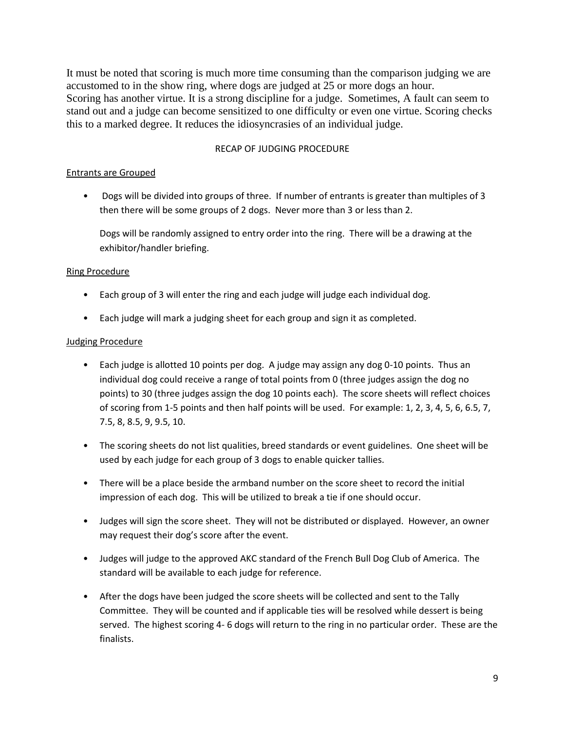It must be noted that scoring is much more time consuming than the comparison judging we are accustomed to in the show ring, where dogs are judged at 25 or more dogs an hour. Scoring has another virtue. It is a strong discipline for a judge. Sometimes, A fault can seem to stand out and a judge can become sensitized to one difficulty or even one virtue. Scoring checks this to a marked degree. It reduces the idiosyncrasies of an individual judge.

#### RECAP OF JUDGING PROCEDURE

#### Entrants are Grouped

• Dogs will be divided into groups of three. If number of entrants is greater than multiples of 3 then there will be some groups of 2 dogs. Never more than 3 or less than 2.

Dogs will be randomly assigned to entry order into the ring. There will be a drawing at the exhibitor/handler briefing.

#### Ring Procedure

- Each group of 3 will enter the ring and each judge will judge each individual dog.
- Each judge will mark a judging sheet for each group and sign it as completed.

#### Judging Procedure

- Each judge is allotted 10 points per dog. A judge may assign any dog 0-10 points. Thus an individual dog could receive a range of total points from 0 (three judges assign the dog no points) to 30 (three judges assign the dog 10 points each). The score sheets will reflect choices of scoring from 1-5 points and then half points will be used. For example: 1, 2, 3, 4, 5, 6, 6.5, 7, 7.5, 8, 8.5, 9, 9.5, 10.
- The scoring sheets do not list qualities, breed standards or event guidelines. One sheet will be used by each judge for each group of 3 dogs to enable quicker tallies.
- There will be a place beside the armband number on the score sheet to record the initial impression of each dog. This will be utilized to break a tie if one should occur.
- Judges will sign the score sheet. They will not be distributed or displayed. However, an owner may request their dog's score after the event.
- Judges will judge to the approved AKC standard of the French Bull Dog Club of America. The standard will be available to each judge for reference.
- After the dogs have been judged the score sheets will be collected and sent to the Tally Committee. They will be counted and if applicable ties will be resolved while dessert is being served. The highest scoring 4- 6 dogs will return to the ring in no particular order. These are the finalists.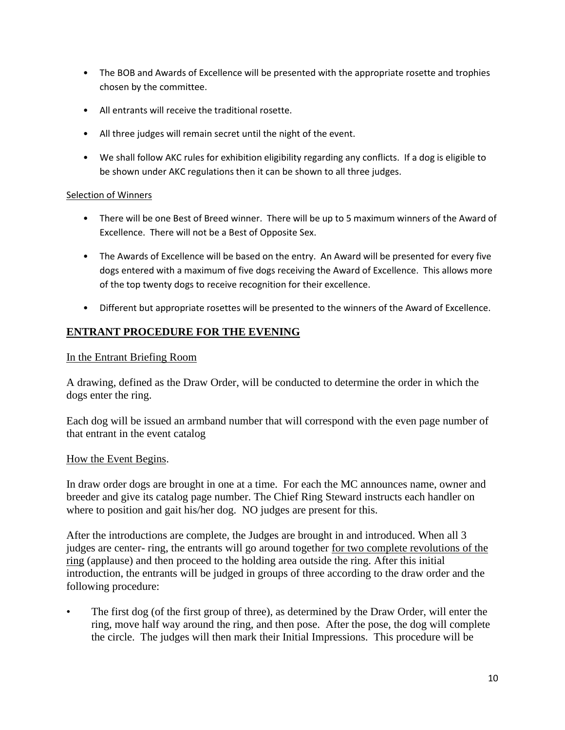- The BOB and Awards of Excellence will be presented with the appropriate rosette and trophies chosen by the committee.
- All entrants will receive the traditional rosette.
- All three judges will remain secret until the night of the event.
- We shall follow AKC rules for exhibition eligibility regarding any conflicts. If a dog is eligible to be shown under AKC regulations then it can be shown to all three judges.

### Selection of Winners

- There will be one Best of Breed winner. There will be up to 5 maximum winners of the Award of Excellence. There will not be a Best of Opposite Sex.
- The Awards of Excellence will be based on the entry. An Award will be presented for every five dogs entered with a maximum of five dogs receiving the Award of Excellence. This allows more of the top twenty dogs to receive recognition for their excellence.
- Different but appropriate rosettes will be presented to the winners of the Award of Excellence.

## **ENTRANT PROCEDURE FOR THE EVENING**

### In the Entrant Briefing Room

A drawing, defined as the Draw Order, will be conducted to determine the order in which the dogs enter the ring.

Each dog will be issued an armband number that will correspond with the even page number of that entrant in the event catalog

### How the Event Begins.

In draw order dogs are brought in one at a time. For each the MC announces name, owner and breeder and give its catalog page number. The Chief Ring Steward instructs each handler on where to position and gait his/her dog. NO judges are present for this.

After the introductions are complete, the Judges are brought in and introduced. When all 3 judges are center- ring, the entrants will go around together for two complete revolutions of the ring (applause) and then proceed to the holding area outside the ring. After this initial introduction, the entrants will be judged in groups of three according to the draw order and the following procedure:

• The first dog (of the first group of three), as determined by the Draw Order, will enter the ring, move half way around the ring, and then pose. After the pose, the dog will complete the circle. The judges will then mark their Initial Impressions. This procedure will be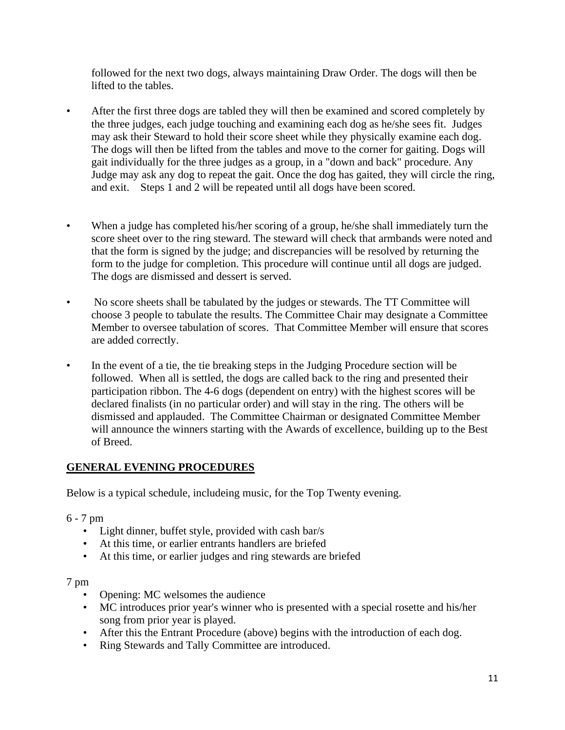followed for the next two dogs, always maintaining Draw Order. The dogs will then be lifted to the tables.

- After the first three dogs are tabled they will then be examined and scored completely by the three judges, each judge touching and examining each dog as he/she sees fit. Judges may ask their Steward to hold their score sheet while they physically examine each dog. The dogs will then be lifted from the tables and move to the corner for gaiting. Dogs will gait individually for the three judges as a group, in a "down and back" procedure. Any Judge may ask any dog to repeat the gait. Once the dog has gaited, they will circle the ring, and exit. Steps 1 and 2 will be repeated until all dogs have been scored.
- When a judge has completed his/her scoring of a group, he/she shall immediately turn the score sheet over to the ring steward. The steward will check that armbands were noted and that the form is signed by the judge; and discrepancies will be resolved by returning the form to the judge for completion. This procedure will continue until all dogs are judged. The dogs are dismissed and dessert is served.
- No score sheets shall be tabulated by the judges or stewards. The TT Committee will choose 3 people to tabulate the results. The Committee Chair may designate a Committee Member to oversee tabulation of scores. That Committee Member will ensure that scores are added correctly.
- In the event of a tie, the tie breaking steps in the Judging Procedure section will be followed. When all is settled, the dogs are called back to the ring and presented their participation ribbon. The 4-6 dogs (dependent on entry) with the highest scores will be declared finalists (in no particular order) and will stay in the ring. The others will be dismissed and applauded. The Committee Chairman or designated Committee Member will announce the winners starting with the Awards of excellence, building up to the Best of Breed.

## **GENERAL EVENING PROCEDURES**

Below is a typical schedule, includeing music, for the Top Twenty evening.

### 6 - 7 pm

- Light dinner, buffet style, provided with cash bar/s
- At this time, or earlier entrants handlers are briefed
- At this time, or earlier judges and ring stewards are briefed

### 7 pm

- Opening: MC welsomes the audience
- MC introduces prior year's winner who is presented with a special rosette and his/her song from prior year is played.
- After this the Entrant Procedure (above) begins with the introduction of each dog.
- Ring Stewards and Tally Committee are introduced.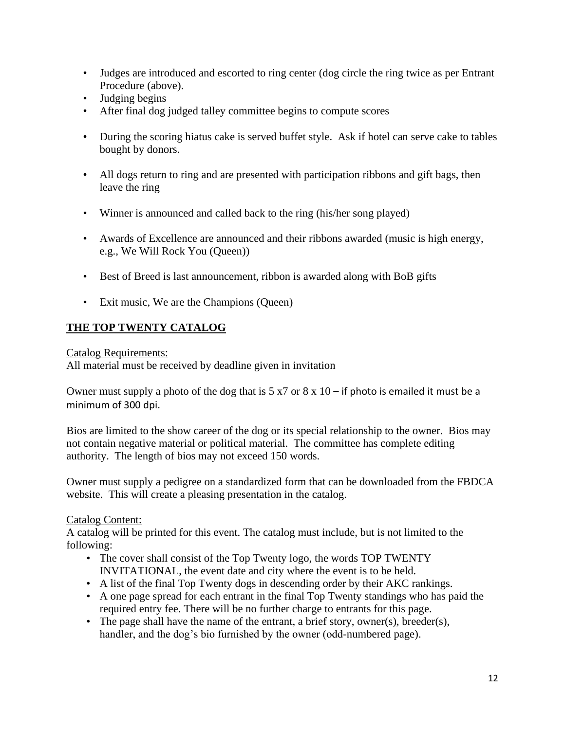- Judges are introduced and escorted to ring center (dog circle the ring twice as per Entrant Procedure (above).
- Judging begins
- After final dog judged talley committee begins to compute scores
- During the scoring hiatus cake is served buffet style. Ask if hotel can serve cake to tables bought by donors.
- All dogs return to ring and are presented with participation ribbons and gift bags, then leave the ring
- Winner is announced and called back to the ring (his/her song played)
- Awards of Excellence are announced and their ribbons awarded (music is high energy, e.g., We Will Rock You (Queen))
- Best of Breed is last announcement, ribbon is awarded along with BoB gifts
- Exit music, We are the Champions (Queen)

## **THE TOP TWENTY CATALOG**

Catalog Requirements:

All material must be received by deadline given in invitation

Owner must supply a photo of the dog that is  $5 \times 7$  or  $8 \times 10$  – if photo is emailed it must be a minimum of 300 dpi.

Bios are limited to the show career of the dog or its special relationship to the owner. Bios may not contain negative material or political material. The committee has complete editing authority. The length of bios may not exceed 150 words.

Owner must supply a pedigree on a standardized form that can be downloaded from the FBDCA website. This will create a pleasing presentation in the catalog.

## Catalog Content:

A catalog will be printed for this event. The catalog must include, but is not limited to the following:

- The cover shall consist of the Top Twenty logo, the words TOP TWENTY INVITATIONAL, the event date and city where the event is to be held.
- A list of the final Top Twenty dogs in descending order by their AKC rankings.
- A one page spread for each entrant in the final Top Twenty standings who has paid the required entry fee. There will be no further charge to entrants for this page.
- The page shall have the name of the entrant, a brief story, owner(s), breeder(s), handler, and the dog's bio furnished by the owner (odd-numbered page).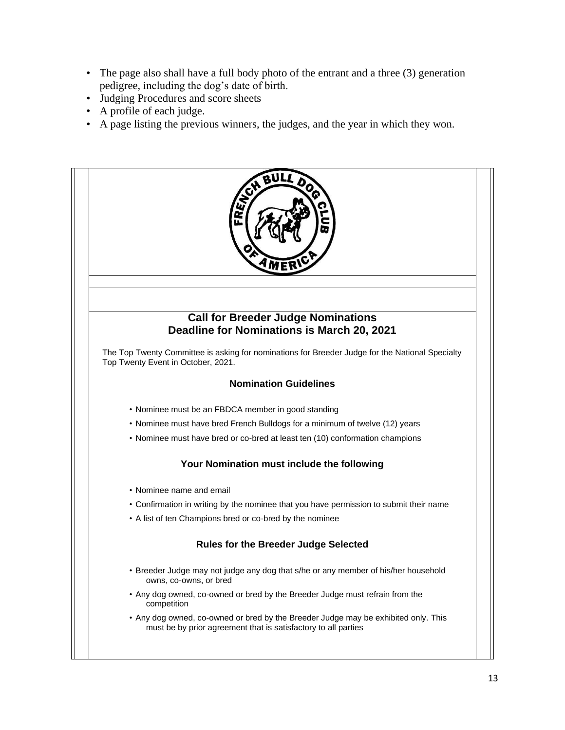- The page also shall have a full body photo of the entrant and a three (3) generation pedigree, including the dog's date of birth.
- Judging Procedures and score sheets
- A profile of each judge.
- A page listing the previous winners, the judges, and the year in which they won.



• Any dog owned, co-owned or bred by the Breeder Judge may be exhibited only. This must be by prior agreement that is satisfactory to all parties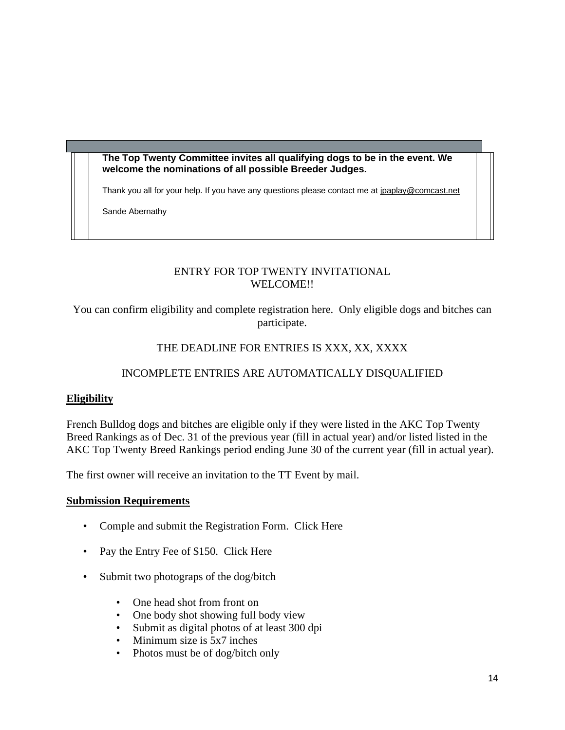**The Top Twenty Committee invites all qualifying dogs to be in the event. We welcome the nominations of all possible Breeder Judges.**

Thank you all for your help. If you have any questions please contact me at [jpaplay@comcast.net](mailto:jpaplay@comcast.net)

Sande Abernathy

## ENTRY FOR TOP TWENTY INVITATIONAL WELCOME!!

You can confirm eligibility and complete registration here. Only eligible dogs and bitches can participate.

## THE DEADLINE FOR ENTRIES IS XXX, XX, XXXX

## INCOMPLETE ENTRIES ARE AUTOMATICALLY DISQUALIFIED

## **Eligibility**

French Bulldog dogs and bitches are eligible only if they were listed in the AKC Top Twenty Breed Rankings as of Dec. 31 of the previous year (fill in actual year) and/or listed listed in the AKC Top Twenty Breed Rankings period ending June 30 of the current year (fill in actual year).

The first owner will receive an invitation to the TT Event by mail.

### **Submission Requirements**

- Comple and submit the Registration Form. Click Here
- Pay the Entry Fee of \$150. Click Here
- Submit two photograps of the dog/bitch
	- One head shot from front on
	- One body shot showing full body view
	- Submit as digital photos of at least 300 dpi
	- Minimum size is 5x7 inches
	- Photos must be of dog/bitch only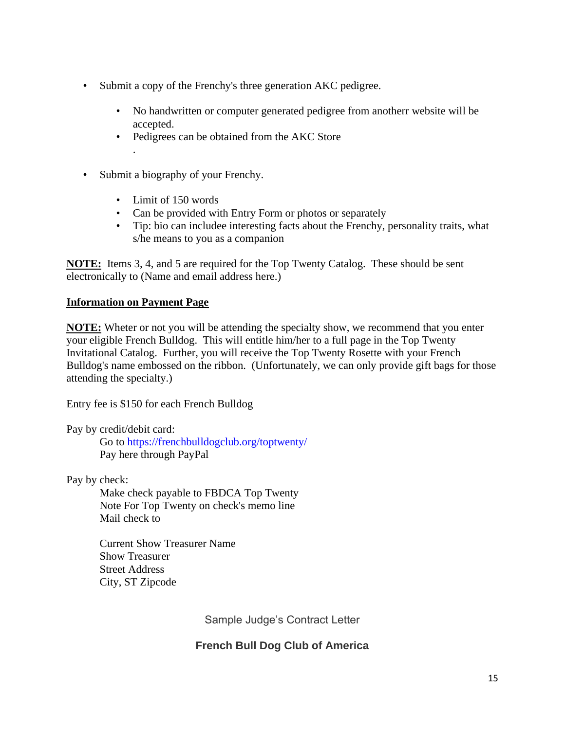- Submit a copy of the Frenchy's three generation AKC pedigree.
	- No handwritten or computer generated pedigree from anotherr website will be accepted.
	- Pedigrees can be obtained from the AKC Store .
- Submit a biography of your Frenchy.
	- Limit of 150 words
	- Can be provided with Entry Form or photos or separately
	- Tip: bio can includee interesting facts about the Frenchy, personality traits, what s/he means to you as a companion

**NOTE:** Items 3, 4, and 5 are required for the Top Twenty Catalog. These should be sent electronically to (Name and email address here.)

## **Information on Payment Page**

**NOTE:** Wheter or not you will be attending the specialty show, we recommend that you enter your eligible French Bulldog. This will entitle him/her to a full page in the Top Twenty Invitational Catalog. Further, you will receive the Top Twenty Rosette with your French Bulldog's name embossed on the ribbon. (Unfortunately, we can only provide gift bags for those attending the specialty.)

Entry fee is \$150 for each French Bulldog

Pay by credit/debit card:

Go to<https://frenchbulldogclub.org/toptwenty/> Pay here through PayPal

Pay by check:

Make check payable to FBDCA Top Twenty Note For Top Twenty on check's memo line Mail check to

Current Show Treasurer Name Show Treasurer Street Address City, ST Zipcode

Sample Judge's Contract Letter

## **French Bull Dog Club of America**